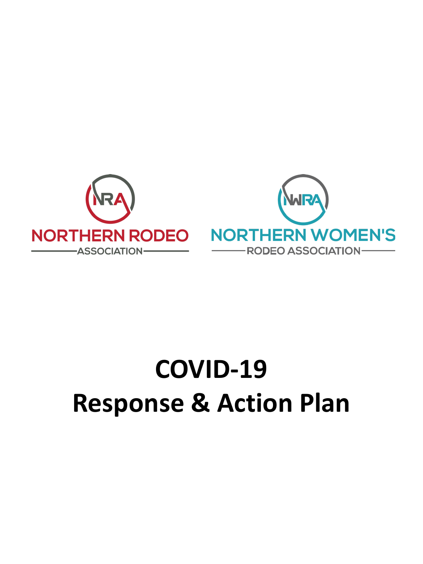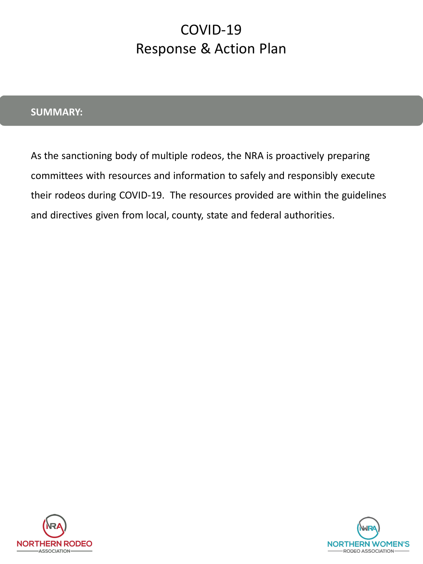#### **SUMMARY:**

As the sanctioning body of multiple rodeos, the NRA is proactively preparing committees with resources and information to safely and responsibly execute their rodeos during COVID-19. The resources provided are within the guidelines and directives given from local, county, state and federal authorities.



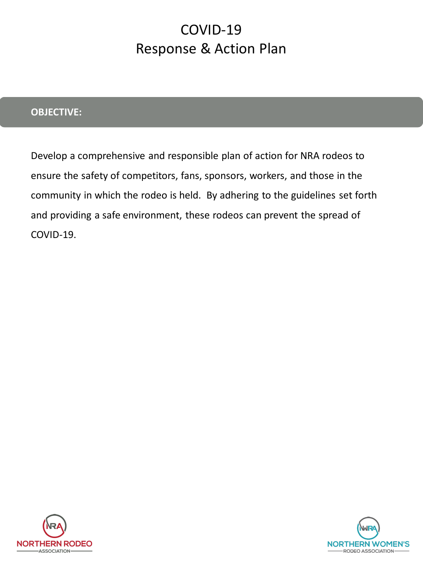### **OBJECTIVE:**

Develop a comprehensive and responsible plan of action for NRA rodeos to ensure the safety of competitors, fans, sponsors, workers, and those in the community in which the rodeo is held. By adhering to the guidelines set forth and providing a safe environment, these rodeos can prevent the spread of COVID-19.



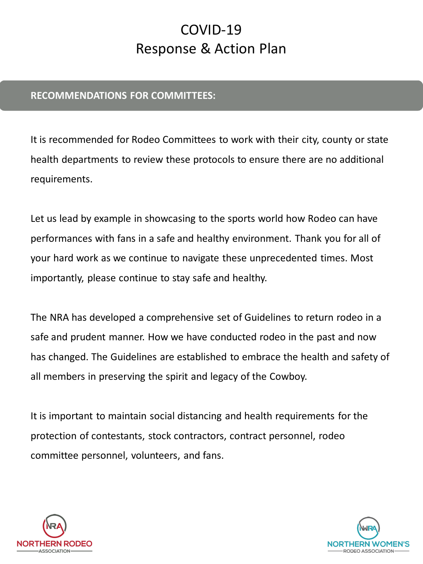#### **RECOMMENDATIONS FOR COMMITTEES:**

It is recommended for Rodeo Committees to work with their city, county or state health departments to review these protocols to ensure there are no additional requirements.

Let us lead by example in showcasing to the sports world how Rodeo can have performances with fans in a safe and healthy environment. Thank you for all of your hard work as we continue to navigate these unprecedented times. Most importantly, please continue to stay safe and healthy.

The NRA has developed a comprehensive set of Guidelines to return rodeo in a safe and prudent manner. How we have conducted rodeo in the past and now has changed. The Guidelines are established to embrace the health and safety of all members in preserving the spirit and legacy of the Cowboy.

It is important to maintain social distancing and health requirements for the protection of contestants, stock contractors, contract personnel, rodeo committee personnel, volunteers, and fans.



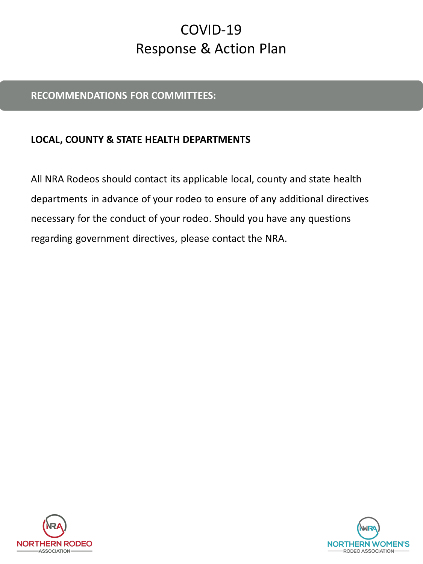#### **RECOMMENDATIONS FOR COMMITTEES:**

### **LOCAL, COUNTY & STATE HEALTH DEPARTMENTS**

All NRA Rodeos should contact its applicable local, county and state health departments in advance of your rodeo to ensure of any additional directives necessary for the conduct of your rodeo. Should you have any questions regarding government directives, please contact the NRA.



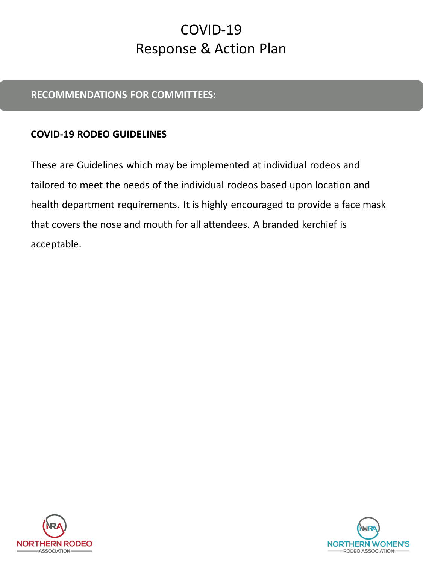### **RECOMMENDATIONS FOR COMMITTEES:**

### **COVID-19 RODEO GUIDELINES**

These are Guidelines which may be implemented at individual rodeos and tailored to meet the needs of the individual rodeos based upon location and health department requirements. It is highly encouraged to provide a face mask that covers the nose and mouth for all attendees. A branded kerchief is acceptable.



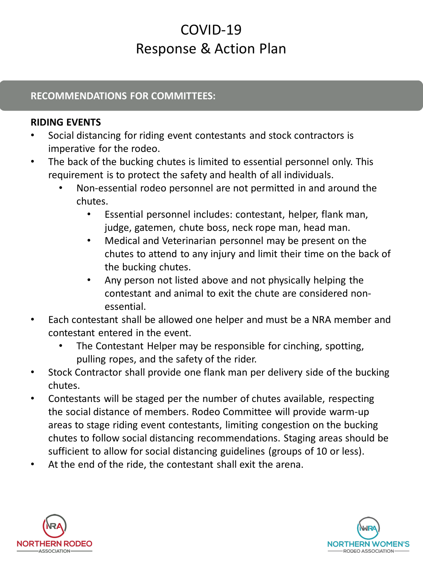### **RECOMMENDATIONS FOR COMMITTEES:**

### **RIDING EVENTS**

- Social distancing for riding event contestants and stock contractors is imperative for the rodeo.
- The back of the bucking chutes is limited to essential personnel only. This requirement is to protect the safety and health of all individuals.
	- Non-essential rodeo personnel are not permitted in and around the chutes.
		- Essential personnel includes: contestant, helper, flank man, judge, gatemen, chute boss, neck rope man, head man.
		- Medical and Veterinarian personnel may be present on the chutes to attend to any injury and limit their time on the back of the bucking chutes.
		- Any person not listed above and not physically helping the contestant and animal to exit the chute are considered nonessential.
- Each contestant shall be allowed one helper and must be a NRA member and contestant entered in the event.
	- The Contestant Helper may be responsible for cinching, spotting, pulling ropes, and the safety of the rider.
- Stock Contractor shall provide one flank man per delivery side of the bucking chutes.
- Contestants will be staged per the number of chutes available, respecting the social distance of members. Rodeo Committee will provide warm-up areas to stage riding event contestants, limiting congestion on the bucking chutes to follow social distancing recommendations. Staging areas should be sufficient to allow for social distancing guidelines (groups of 10 or less).
- At the end of the ride, the contestant shall exit the arena.



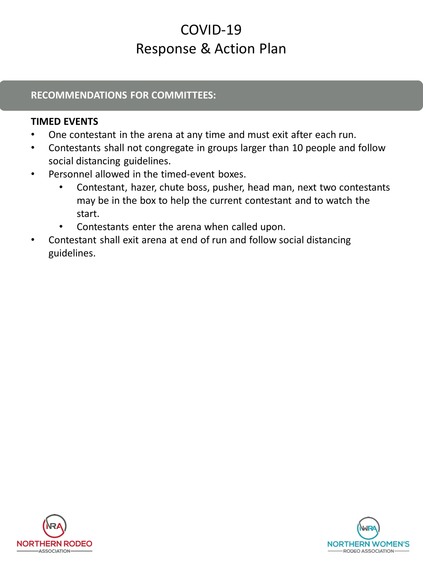### **RECOMMENDATIONS FOR COMMITTEES:**

### **TIMED EVENTS**

- One contestant in the arena at any time and must exit after each run.
- Contestants shall not congregate in groups larger than 10 people and follow social distancing guidelines.
- Personnel allowed in the timed-event boxes.
	- Contestant, hazer, chute boss, pusher, head man, next two contestants may be in the box to help the current contestant and to watch the start.
	- Contestants enter the arena when called upon.
- Contestant shall exit arena at end of run and follow social distancing guidelines.



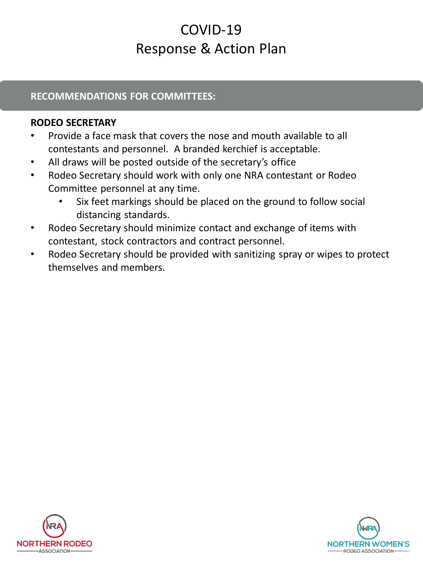#### **RECOMMENDATIONS FOR COMMITTEES:**

#### **RODEO SECRETARY**

- Provide a face mask that covers the nose and mouth available to all contestants and personnel. A branded kerchief is acceptable.
- All draws will be posted outside of the secretary's office
- Rodeo Secretary should work with only one NRA contestant or Rodeo Committee personnel at any time.
	- Six feet markings should be placed on the ground to follow social distancing standards.
- Rodeo Secretary should minimize contact and exchange of items with contestant, stock contractors and contract personnel.
- Rodeo Secretary should be provided with sanitizing spray or wipes to protect themselves and members.



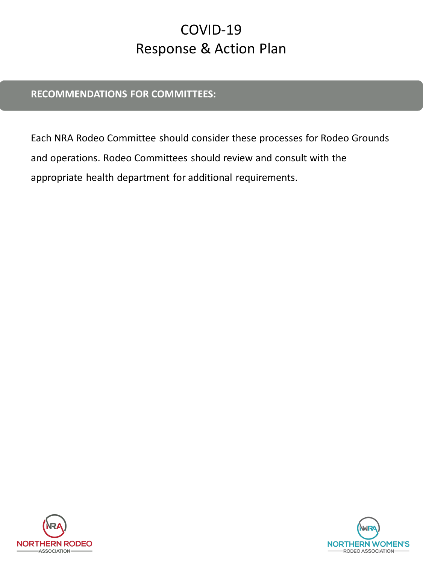### **RECOMMENDATIONS FOR COMMITTEES:**

Each NRA Rodeo Committee should consider these processes for Rodeo Grounds and operations. Rodeo Committees should review and consult with the appropriate health department for additional requirements.



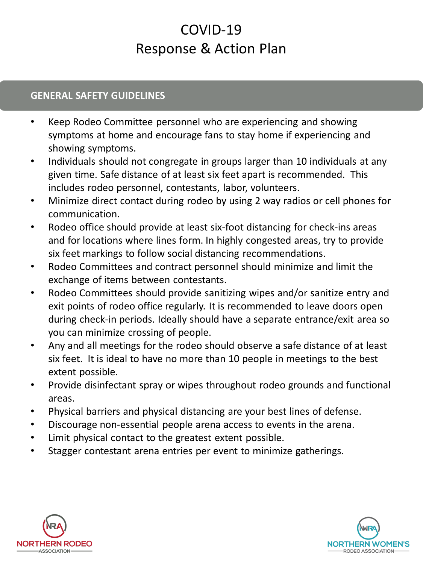#### **GENERAL SAFETY GUIDELINES**

- Keep Rodeo Committee personnel who are experiencing and showing symptoms at home and encourage fans to stay home if experiencing and showing symptoms.
- Individuals should not congregate in groups larger than 10 individuals at any given time. Safe distance of at least six feet apart is recommended. This includes rodeo personnel, contestants, labor, volunteers.
- Minimize direct contact during rodeo by using 2 way radios or cell phones for communication.
- Rodeo office should provide at least six-foot distancing for check-ins areas and for locations where lines form. In highly congested areas, try to provide six feet markings to follow social distancing recommendations.
- Rodeo Committees and contract personnel should minimize and limit the exchange of items between contestants.
- Rodeo Committees should provide sanitizing wipes and/or sanitize entry and exit points of rodeo office regularly. It is recommended to leave doors open during check-in periods. Ideally should have a separate entrance/exit area so you can minimize crossing of people.
- Any and all meetings for the rodeo should observe a safe distance of at least six feet. It is ideal to have no more than 10 people in meetings to the best extent possible.
- Provide disinfectant spray or wipes throughout rodeo grounds and functional areas.
- Physical barriers and physical distancing are your best lines of defense.
- Discourage non-essential people arena access to events in the arena.
- Limit physical contact to the greatest extent possible.
- Stagger contestant arena entries per event to minimize gatherings.



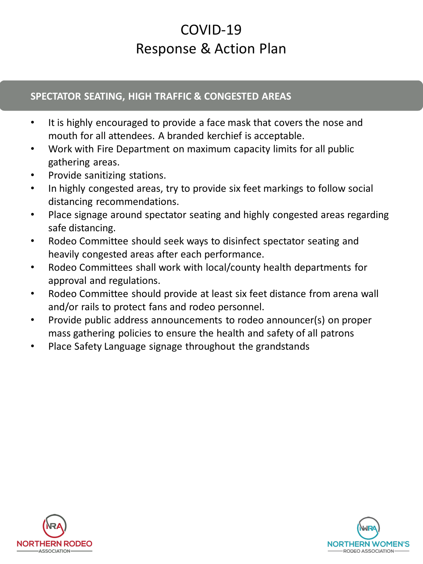### **SPECTATOR SEATING, HIGH TRAFFIC & CONGESTED AREAS**

- It is highly encouraged to provide a face mask that covers the nose and mouth for all attendees. A branded kerchief is acceptable.
- Work with Fire Department on maximum capacity limits for all public gathering areas.
- Provide sanitizing stations.
- In highly congested areas, try to provide six feet markings to follow social distancing recommendations.
- Place signage around spectator seating and highly congested areas regarding safe distancing.
- Rodeo Committee should seek ways to disinfect spectator seating and heavily congested areas after each performance.
- Rodeo Committees shall work with local/county health departments for approval and regulations.
- Rodeo Committee should provide at least six feet distance from arena wall and/or rails to protect fans and rodeo personnel.
- Provide public address announcements to rodeo announcer(s) on proper mass gathering policies to ensure the health and safety of all patrons
- Place Safety Language signage throughout the grandstands



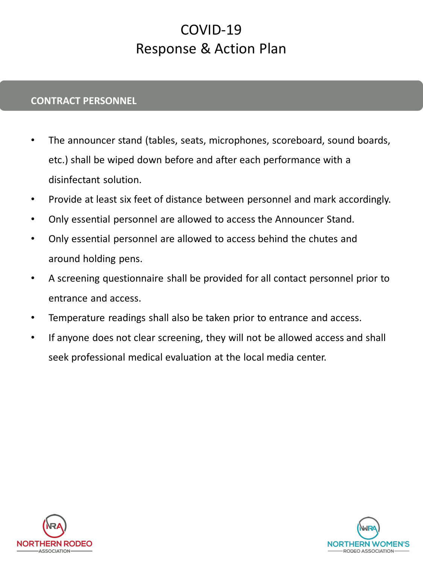### **CONTRACT PERSONNEL**

- The announcer stand (tables, seats, microphones, scoreboard, sound boards, etc.) shall be wiped down before and after each performance with a disinfectant solution.
- Provide at least six feet of distance between personnel and mark accordingly.
- Only essential personnel are allowed to access the Announcer Stand.
- Only essential personnel are allowed to access behind the chutes and around holding pens.
- A screening questionnaire shall be provided for all contact personnel prior to entrance and access.
- Temperature readings shall also be taken prior to entrance and access.
- If anyone does not clear screening, they will not be allowed access and shall seek professional medical evaluation at the local media center.



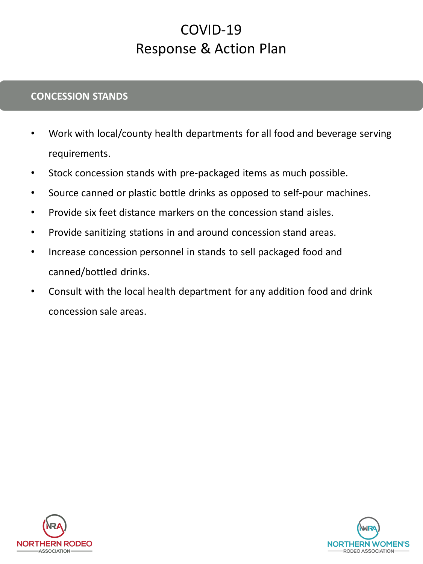#### **CONCESSION STANDS**

- Work with local/county health departments for all food and beverage serving requirements.
- Stock concession stands with pre-packaged items as much possible.
- Source canned or plastic bottle drinks as opposed to self-pour machines.
- Provide six feet distance markers on the concession stand aisles.
- Provide sanitizing stations in and around concession stand areas.
- Increase concession personnel in stands to sell packaged food and canned/bottled drinks.
- Consult with the local health department for any addition food and drink concession sale areas.



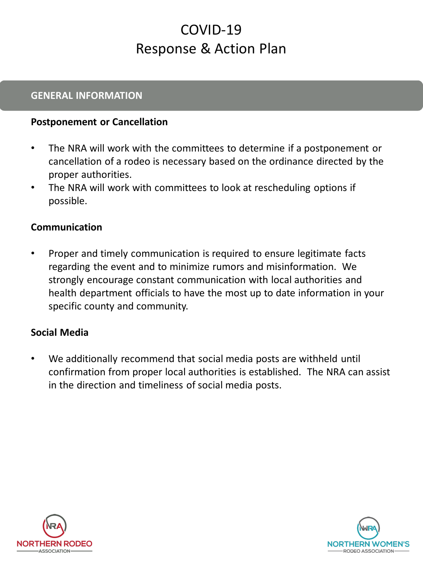#### **GENERAL INFORMATION**

#### **Postponement or Cancellation**

- The NRA will work with the committees to determine if a postponement or cancellation of a rodeo is necessary based on the ordinance directed by the proper authorities.
- The NRA will work with committees to look at rescheduling options if possible.

#### **Communication**

• Proper and timely communication is required to ensure legitimate facts regarding the event and to minimize rumors and misinformation. We strongly encourage constant communication with local authorities and health department officials to have the most up to date information in your specific county and community.

#### **Social Media**

• We additionally recommend that social media posts are withheld until confirmation from proper local authorities is established. The NRA can assist in the direction and timeliness of social media posts.



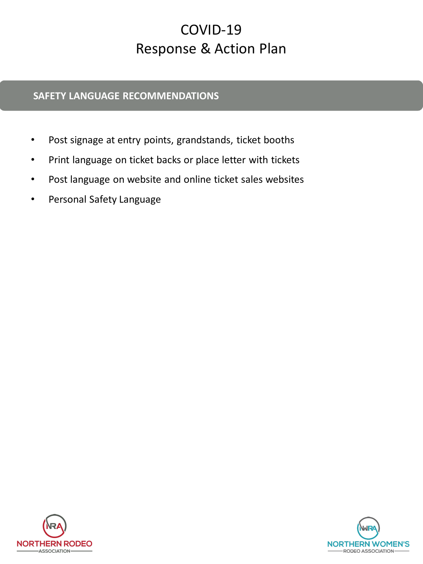#### **SAFETY LANGUAGE RECOMMENDATIONS**

- Post signage at entry points, grandstands, ticket booths
- Print language on ticket backs or place letter with tickets
- Post language on website and online ticket sales websites
- Personal Safety Language



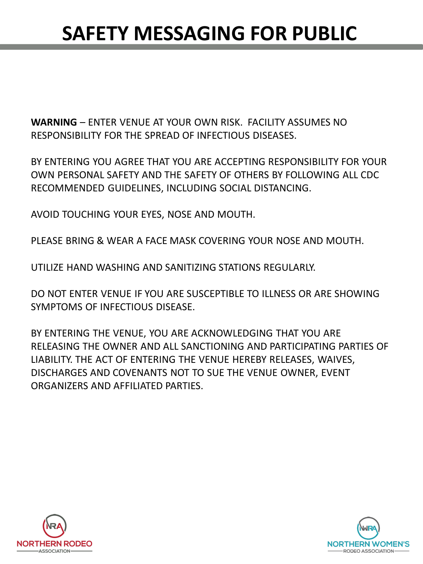## **SAFETY MESSAGING FOR PUBLIC**

**WARNING** – ENTER VENUE AT YOUR OWN RISK. FACILITY ASSUMES NO RESPONSIBILITY FOR THE SPREAD OF INFECTIOUS DISEASES.

BY ENTERING YOU AGREE THAT YOU ARE ACCEPTING RESPONSIBILITY FOR YOUR OWN PERSONAL SAFETY AND THE SAFETY OF OTHERS BY FOLLOWING ALL CDC RECOMMENDED GUIDELINES, INCLUDING SOCIAL DISTANCING.

AVOID TOUCHING YOUR EYES, NOSE AND MOUTH.

PLEASE BRING & WEAR A FACE MASK COVERING YOUR NOSE AND MOUTH.

UTILIZE HAND WASHING AND SANITIZING STATIONS REGULARLY.

DO NOT ENTER VENUE IF YOU ARE SUSCEPTIBLE TO ILLNESS OR ARE SHOWING SYMPTOMS OF INFECTIOUS DISEASE.

BY ENTERING THE VENUE, YOU ARE ACKNOWLEDGING THAT YOU ARE RELEASING THE OWNER AND ALL SANCTIONING AND PARTICIPATING PARTIES OF LIABILITY. THE ACT OF ENTERING THE VENUE HEREBY RELEASES, WAIVES, DISCHARGES AND COVENANTS NOT TO SUE THE VENUE OWNER, EVENT ORGANIZERS AND AFFILIATED PARTIES.



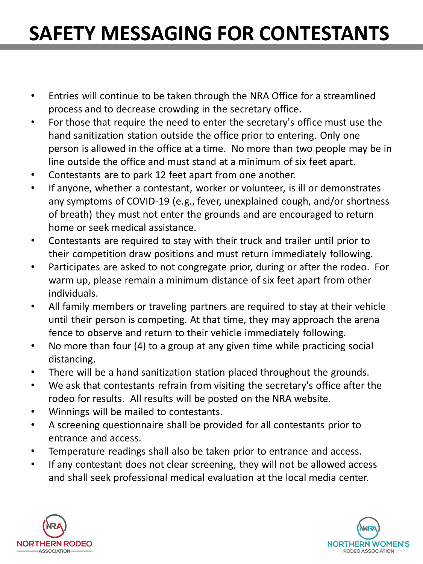## **SAFETY MESSAGING FOR CONTESTANTS**

- Entries will continue to be taken through the NRA Office for a streamlined process and to decrease crowding in the secretary office.
- For those that require the need to enter the secretary's office must use the hand sanitization station outside the office prior to entering. Only one person is allowed in the office at a time. No more than two people may be in line outside the office and must stand at a minimum of six feet apart.
- Contestants are to park 12 feet apart from one another.
- If anyone, whether a contestant, worker or volunteer, is ill or demonstrates any symptoms of COVID-19 (e.g., fever, unexplained cough, and/or shortness of breath) they must not enter the grounds and are encouraged to return home or seek medical assistance.
- Contestants are required to stay with their truck and trailer until prior to their competition draw positions and must return immediately following.
- Participates are asked to not congregate prior, during or after the rodeo. For warm up, please remain a minimum distance of six feet apart from other individuals.
- All family members or traveling partners are required to stay at their vehicle until their person is competing. At that time, they may approach the arena fence to observe and return to their vehicle immediately following.
- No more than four (4) to a group at any given time while practicing social distancing.
- There will be a hand sanitization station placed throughout the grounds.
- We ask that contestants refrain from visiting the secretary's office after the rodeo for results. All results will be posted on the NRA website.
- Winnings will be mailed to contestants.
- A screening questionnaire shall be provided for all contestants prior to entrance and access.
- Temperature readings shall also be taken prior to entrance and access.
- If any contestant does not clear screening, they will not be allowed access and shall seek professional medical evaluation at the local media center.